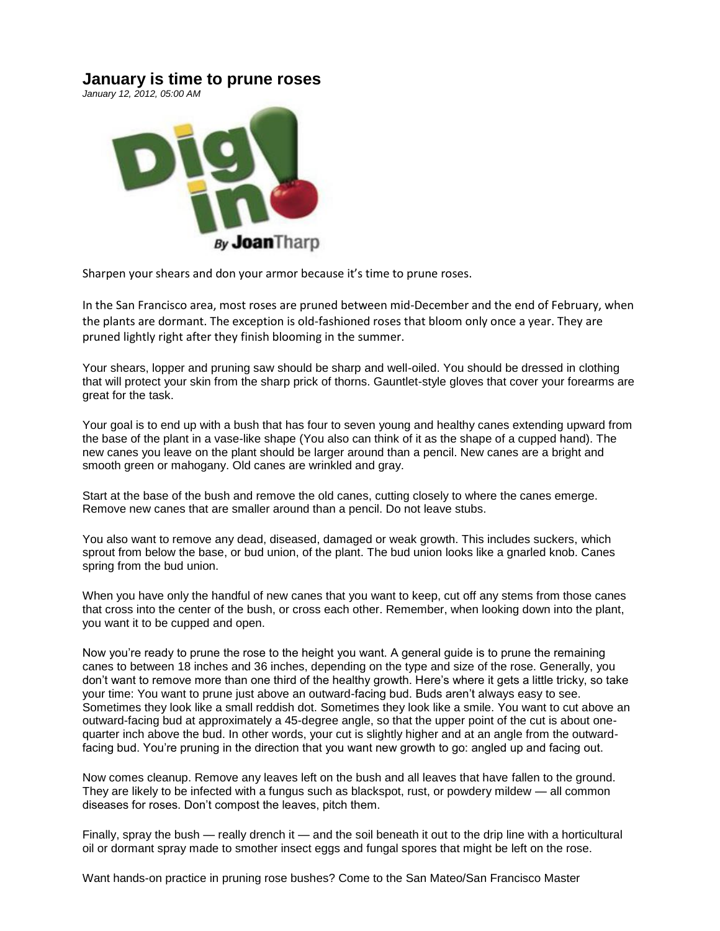## **January is time to prune roses**

*January 12, 2012, 05:00 AM* 



Sharpen your shears and don your armor because it's time to prune roses.

In the San Francisco area, most roses are pruned between mid-December and the end of February, when the plants are dormant. The exception is old-fashioned roses that bloom only once a year. They are pruned lightly right after they finish blooming in the summer.

Your shears, lopper and pruning saw should be sharp and well-oiled. You should be dressed in clothing that will protect your skin from the sharp prick of thorns. Gauntlet-style gloves that cover your forearms are great for the task.

Your goal is to end up with a bush that has four to seven young and healthy canes extending upward from the base of the plant in a vase-like shape (You also can think of it as the shape of a cupped hand). The new canes you leave on the plant should be larger around than a pencil. New canes are a bright and smooth green or mahogany. Old canes are wrinkled and gray.

Start at the base of the bush and remove the old canes, cutting closely to where the canes emerge. Remove new canes that are smaller around than a pencil. Do not leave stubs.

You also want to remove any dead, diseased, damaged or weak growth. This includes suckers, which sprout from below the base, or bud union, of the plant. The bud union looks like a gnarled knob. Canes spring from the bud union.

When you have only the handful of new canes that you want to keep, cut off any stems from those canes that cross into the center of the bush, or cross each other. Remember, when looking down into the plant, you want it to be cupped and open.

Now you're ready to prune the rose to the height you want. A general guide is to prune the remaining canes to between 18 inches and 36 inches, depending on the type and size of the rose. Generally, you don't want to remove more than one third of the healthy growth. Here's where it gets a little tricky, so take your time: You want to prune just above an outward-facing bud. Buds aren't always easy to see. Sometimes they look like a small reddish dot. Sometimes they look like a smile. You want to cut above an outward-facing bud at approximately a 45-degree angle, so that the upper point of the cut is about onequarter inch above the bud. In other words, your cut is slightly higher and at an angle from the outwardfacing bud. You're pruning in the direction that you want new growth to go: angled up and facing out.

Now comes cleanup. Remove any leaves left on the bush and all leaves that have fallen to the ground. They are likely to be infected with a fungus such as blackspot, rust, or powdery mildew — all common diseases for roses. Don't compost the leaves, pitch them.

Finally, spray the bush — really drench it — and the soil beneath it out to the drip line with a horticultural oil or dormant spray made to smother insect eggs and fungal spores that might be left on the rose.

Want hands-on practice in pruning rose bushes? Come to the San Mateo/San Francisco Master